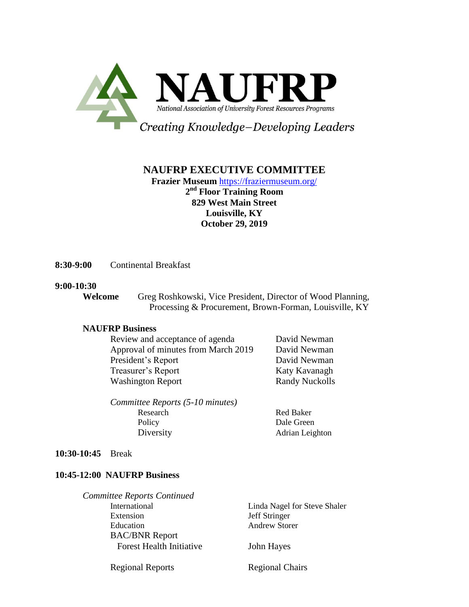

# **NAUFRP EXECUTIVE COMMITTEE**

**Frazier Museum** <https://fraziermuseum.org/> **2 nd Floor Training Room 829 West Main Street Louisville, KY October 29, 2019**

**8:30-9:00** Continental Breakfast

#### **9:00-10:30**

**Welcome** Greg Roshkowski, Vice President, Director of Wood Planning, Processing & Procurement, Brown-Forman, Louisville, KY

### **NAUFRP Business**

| Review and acceptance of agenda     | David Newman          |
|-------------------------------------|-----------------------|
| Approval of minutes from March 2019 | David Newman          |
| President's Report                  | David Newman          |
| Treasurer's Report                  | Katy Kavanagh         |
| <b>Washington Report</b>            | <b>Randy Nuckolls</b> |
|                                     |                       |

*Committee Reports (5-10 minutes)* Research Red Baker Policy Dale Green Diversity **Adrian Leighton** 

**10:30-10:45** Break

### **10:45-12:00 NAUFRP Business**

| Linda Nagel for Steve Shaler |
|------------------------------|
| Jeff Stringer                |
| <b>Andrew Storer</b>         |
|                              |
| John Hayes                   |
|                              |

Regional Reports Regional Chairs